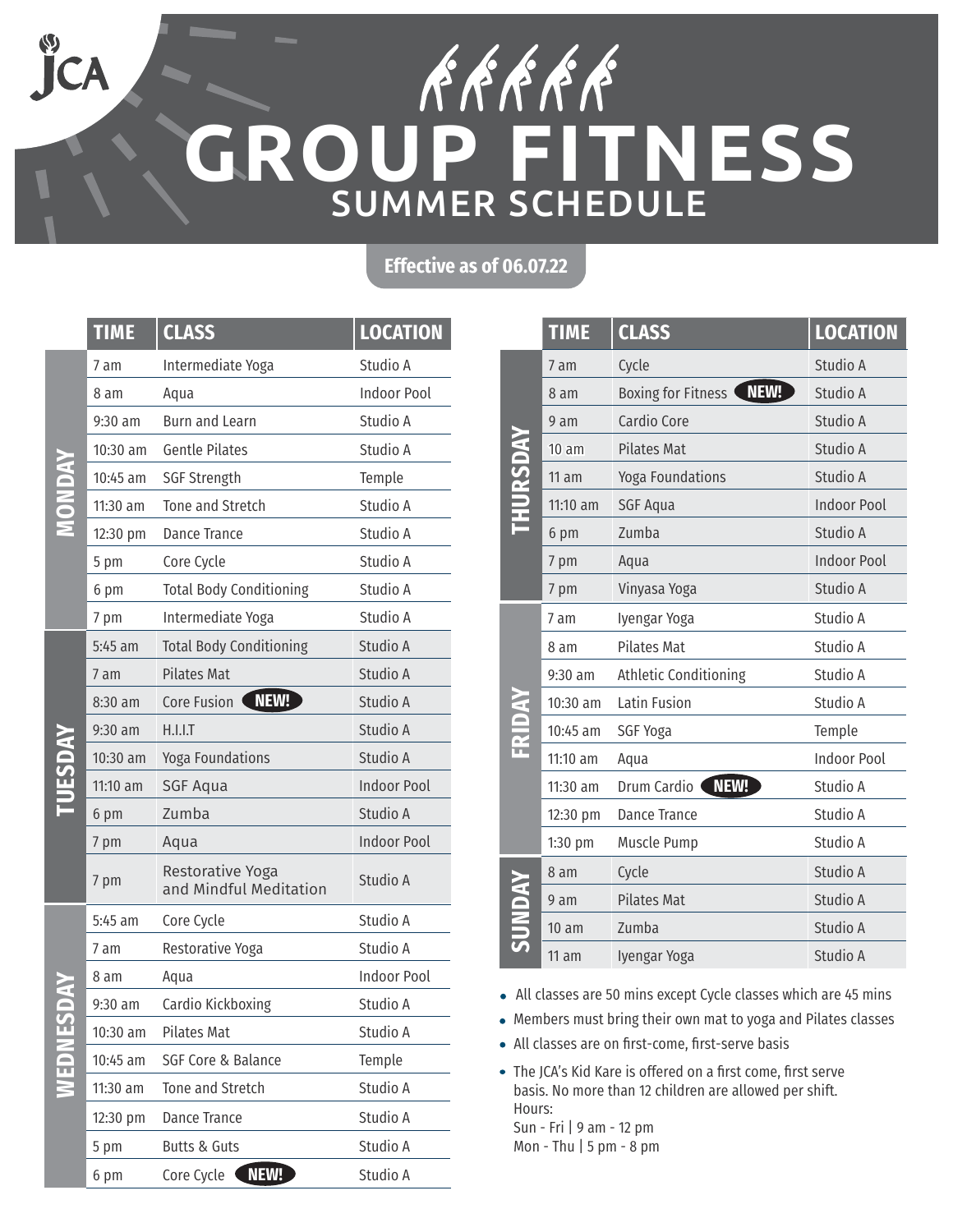# RRRRR **GROUP FITNESS** SUMMER SCHEDULE

### **Effective as of 06.07.22**

|               | <b>TIME</b> | <b>CLASS</b>                               | <b>LOCATION</b>    |
|---------------|-------------|--------------------------------------------|--------------------|
| <b>ENDAN</b>  | 7 am        | Intermediate Yoga                          | Studio A           |
|               | 8 am        | Aqua                                       | <b>Indoor Pool</b> |
|               | $9:30$ am   | <b>Burn and Learn</b>                      | Studio A           |
|               | 10:30 am    | <b>Gentle Pilates</b>                      | Studio A           |
|               | 10:45 am    | <b>SGF Strength</b>                        | Temple             |
|               | 11:30 am    | Tone and Stretch                           | Studio A           |
|               | 12:30 pm    | <b>Dance Trance</b>                        | Studio A           |
|               | 5 pm        | Core Cycle                                 | Studio A           |
|               | 6 pm        | <b>Total Body Conditioning</b>             | Studio A           |
|               | 7 pm        | Intermediate Yoga                          | Studio A           |
|               | $5:45$ am   | <b>Total Body Conditioning</b>             | Studio A           |
|               | 7 am        | <b>Pilates Mat</b>                         | Studio A           |
|               | 8:30 am     | NEW!<br>Core Fusion                        | Studio A           |
| <b>LNSSPW</b> | 9:30 am     | H.I.I.T                                    | Studio A           |
|               | 10:30 am    | Yoga Foundations                           | Studio A           |
|               | $11:10$ am  | <b>SGF Aqua</b>                            | <b>Indoor Pool</b> |
|               | 6 pm        | Zumba                                      | Studio A           |
|               | 7 pm        | Aqua                                       | <b>Indoor Pool</b> |
|               | 7 pm        | Restorative Yoga<br>and Mindful Meditation | Studio A           |
| VEDNES        | 5:45 am     | Core Cycle                                 | Studio A           |
|               | 7 am        | Restorative Yoga                           | Studio A           |
|               | 8 am        | Aqua                                       | <b>Indoor Pool</b> |
|               | 9:30 am     | Cardio Kickboxing                          | Studio A           |
|               | 10:30 am    | <b>Pilates Mat</b>                         | Studio A           |
|               | 10:45 am    | SGF Core & Balance                         | Temple             |
|               | 11:30 am    | Tone and Stretch                           | Studio A           |
|               | 12:30 pm    | Dance Trance                               | Studio A           |
|               | 5 pm        | <b>Butts &amp; Guts</b>                    | Studio A           |
|               | 6 pm        | Core Cycle NEW!                            | Studio A           |

**JCA** 

|                 | <b>TIME</b> | <b>CLASS</b>                 | <b>LOCATION</b>    |
|-----------------|-------------|------------------------------|--------------------|
| <b>THURSDAY</b> | 7 am        | Cycle                        | Studio A           |
|                 | 8 am        | NEW!<br>Boxing for Fitness   | Studio A           |
|                 | 9 am        | Cardio Core                  | Studio A           |
|                 | 10 am       | <b>Pilates Mat</b>           | Studio A           |
|                 | 11 am       | Yoga Foundations             | Studio A           |
|                 | 11:10 am    | <b>SGF Aqua</b>              | <b>Indoor Pool</b> |
|                 | 6 pm        | Zumba                        | Studio A           |
|                 | 7 pm        | Aqua                         | <b>Indoor Pool</b> |
|                 | 7 pm        | Vinyasa Yoga                 | Studio A           |
|                 | 7 am        | Iyengar Yoga                 | Studio A           |
|                 | 8 am        | <b>Pilates Mat</b>           | Studio A           |
|                 | $9:30$ am   | <b>Athletic Conditioning</b> | Studio A           |
|                 | 10:30 am    | Latin Fusion                 | Studio A           |
| FRIDAY          | 10:45 am    | <b>SGF Yoga</b>              | Temple             |
|                 | 11:10 am    | Aqua                         | <b>Indoor Pool</b> |
|                 | 11:30 am    | NEW!<br>Drum Cardio          | Studio A           |
|                 | 12:30 pm    | <b>Dance Trance</b>          | Studio A           |
|                 | $1:30$ pm   | Muscle Pump                  | Studio A           |
|                 | 8 am        | Cycle                        | Studio A           |
| <b>KAQNDS</b>   | 9 am        | <b>Pilates Mat</b>           | Studio A           |
|                 | 10 am       | Zumba                        | Studio A           |
|                 | 11 am       | Iyengar Yoga                 | Studio A           |

- All classes are 50 mins except Cycle classes which are 45 mins
- Members must bring their own mat to yoga and Pilates classes
- All classes are on first-come, first-serve basis

e JCA<br>e JCA<br>sis. l<br>urs:<br>n - F<br>pn - 1 The JCA's Kid Kare is offered on a first come, first serve basis. No more than 12 children are allowed per shift. Hours: Sun - Fri | 9 am - 12 pm

Mon - Thu | 5 pm - 8 pm